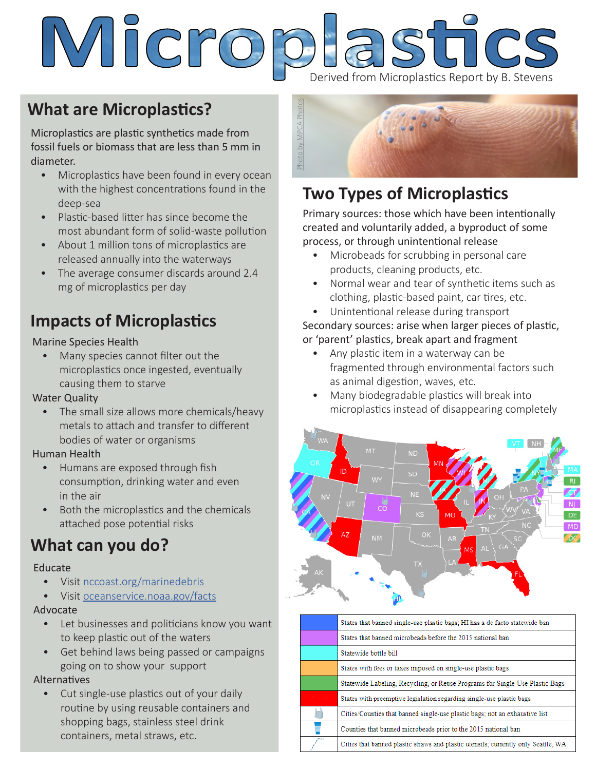# Micro **IFICS** Derived from Microplastics Report by B. Stevens

## **What are Microplastics?**

Microplastics are plastic synthetics made from fossil fuels or biomass that are less than 5 mm in diameter.

- Microplastics have been found in every ocean with the highest concentrations found in the deep-sea
- Plastic-based litter has since become the most abundant form of solid-waste pollution
- About 1 million tons of microplastics are released annually into the waterways
- The average consumer discards around 2.4 mg of microplastics per day

## **Impacts of Microplastics**

### Marine Species Health

• Many species cannot filter out the microplastics once ingested, eventually causing them to starve

### Water Quality

• The small size allows more chemicals/heavy metals to attach and transfer to different bodies of water or organisms

### Human Health

- Humans are exposed through fish consumption, drinking water and even in the air
- Both the microplastics and the chemicals attached pose potential risks

### **What can you do?**

### Educate

- Visit nccoast.org/marinedebris
- Visit oceanservice.noaa.gov/facts

### Advocate

- Let businesses and politicians know you want to keep plastic out of the waters
- Get behind laws being passed or campaigns going on to show your support

### Alternatives

• Cut single-use plastics out of your daily routine by using reusable containers and shopping bags, stainless steel drink containers, metal straws, etc.



### **Two Types of Microplastics**

Primary sources: those which have been intentionally created and voluntarily added, a byproduct of some process, or through unintentional release

- Microbeads for scrubbing in personal care products, cleaning products, etc.
- Normal wear and tear of synthetic items such as clothing, plastic-based paint, car tires, etc.
- Unintentional release during transport

### Secondary sources: arise when larger pieces of plastic, or 'parent' plastics, break apart and fragment

- Any plastic item in a waterway can be fragmented through environmental factors such as animal digestion, waves, etc.
- Many biodegradable plastics will break into microplastics instead of disappearing completely



| States that banned single-use plastic bags; HI has a de facto statewide ban        |
|------------------------------------------------------------------------------------|
| States that banned microbeads before the 2015 national ban                         |
| Statewide bottle bill                                                              |
| States with fees or taxes imposed on single-use plastic bags                       |
| Statewide Labeling, Recycling, or Reuse Programs for Single-Use Plastic Bags       |
| States with preemptive legislation regarding single-use plastic bags               |
| Cities/Counties that banned single-use plastic bags; not an exhaustive list        |
| Counties that banned microbeads prior to the 2015 national ban                     |
| Cities that banned plastic straws and plastic utensils; currently only Seattle, WA |